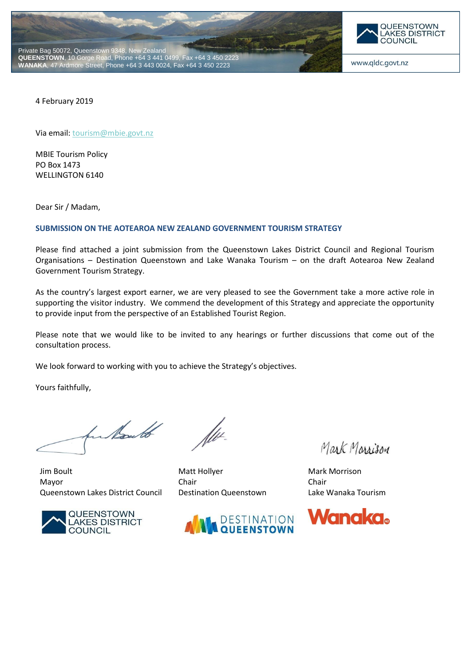



4 February 2019

Via email[: tourism@mbie.govt.nz](mailto:tourism@mbie.govt.nz)

MBIE Tourism Policy PO Box 1473 WELLINGTON 6140

Dear Sir / Madam,

## **SUBMISSION ON THE AOTEAROA NEW ZEALAND GOVERNMENT TOURISM STRATEGY**

Please find attached a joint submission from the Queenstown Lakes District Council and Regional Tourism Organisations – Destination Queenstown and Lake Wanaka Tourism – on the draft Aotearoa New Zealand Government Tourism Strategy.

As the country's largest export earner, we are very pleased to see the Government take a more active role in supporting the visitor industry. We commend the development of this Strategy and appreciate the opportunity to provide input from the perspective of an Established Tourist Region.

Please note that we would like to be invited to any hearings or further discussions that come out of the consultation process.

We look forward to working with you to achieve the Strategy's objectives.

Yours faithfully,

Lands

Jim Boult **Matt Hollyer** Matt Hollyer **Matt Hollyer** Mark Morrison Mayor **Chair** Chair Chair Chair Chair Chair Queenstown Lakes District Council Destination Queenstown Lake Wanaka Tourism



DESTINATION<br>QUEENSTOWN

Mark Morrison

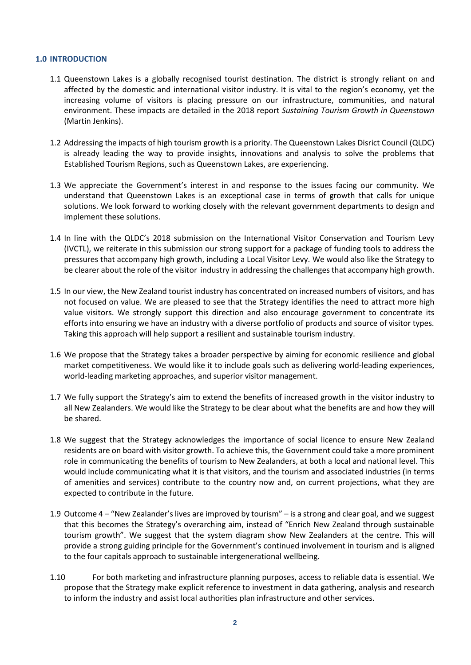## **1.0 INTRODUCTION**

- 1.1 Queenstown Lakes is a globally recognised tourist destination. The district is strongly reliant on and affected by the domestic and international visitor industry. It is vital to the region's economy, yet the increasing volume of visitors is placing pressure on our infrastructure, communities, and natural environment. These impacts are detailed in the 2018 report *Sustaining Tourism Growth in Queenstown* (Martin Jenkins).
- 1.2 Addressing the impacts of high tourism growth is a priority. The Queenstown Lakes Disrict Council (QLDC) is already leading the way to provide insights, innovations and analysis to solve the problems that Established Tourism Regions, such as Queenstown Lakes, are experiencing.
- 1.3 We appreciate the Government's interest in and response to the issues facing our community. We understand that Queenstown Lakes is an exceptional case in terms of growth that calls for unique solutions. We look forward to working closely with the relevant government departments to design and implement these solutions.
- 1.4 In line with the QLDC's 2018 submission on the International Visitor Conservation and Tourism Levy (IVCTL), we reiterate in this submission our strong support for a package of funding tools to address the pressures that accompany high growth, including a Local Visitor Levy. We would also like the Strategy to be clearer about the role of the visitor industry in addressing the challenges that accompany high growth.
- 1.5 In our view, the New Zealand tourist industry has concentrated on increased numbers of visitors, and has not focused on value. We are pleased to see that the Strategy identifies the need to attract more high value visitors. We strongly support this direction and also encourage government to concentrate its efforts into ensuring we have an industry with a diverse portfolio of products and source of visitor types. Taking this approach will help support a resilient and sustainable tourism industry.
- 1.6 We propose that the Strategy takes a broader perspective by aiming for economic resilience and global market competitiveness. We would like it to include goals such as delivering world-leading experiences, world-leading marketing approaches, and superior visitor management.
- 1.7 We fully support the Strategy's aim to extend the benefits of increased growth in the visitor industry to all New Zealanders. We would like the Strategy to be clear about what the benefits are and how they will be shared.
- 1.8 We suggest that the Strategy acknowledges the importance of social licence to ensure New Zealand residents are on board with visitor growth. To achieve this, the Government could take a more prominent role in communicating the benefits of tourism to New Zealanders, at both a local and national level. This would include communicating what it is that visitors, and the tourism and associated industries (in terms of amenities and services) contribute to the country now and, on current projections, what they are expected to contribute in the future.
- 1.9 Outcome 4 "New Zealander's lives are improved by tourism" is a strong and clear goal, and we suggest that this becomes the Strategy's overarching aim, instead of "Enrich New Zealand through sustainable tourism growth". We suggest that the system diagram show New Zealanders at the centre. This will provide a strong guiding principle for the Government's continued involvement in tourism and is aligned to the four capitals approach to sustainable intergenerational wellbeing.
- 1.10 For both marketing and infrastructure planning purposes, access to reliable data is essential. We propose that the Strategy make explicit reference to investment in data gathering, analysis and research to inform the industry and assist local authorities plan infrastructure and other services.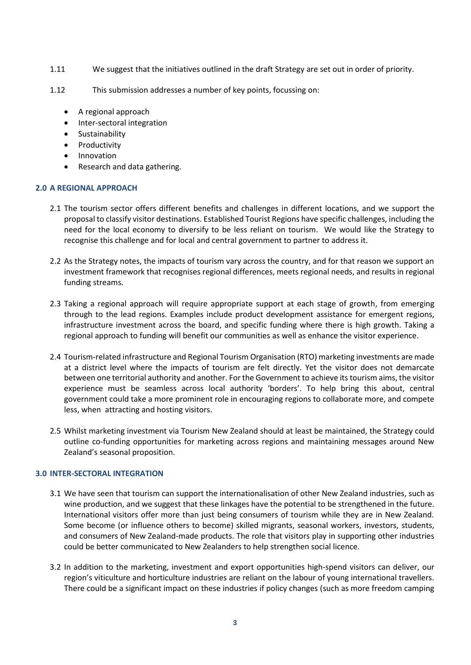- 1.11 We suggest that the initiatives outlined in the draft Strategy are set out in order of priority.
- 1.12 This submission addresses a number of key points, focussing on:
	- A regional approach
	- Inter-sectoral integration
	- Sustainability
	- Productivity
	- Innovation
	- Research and data gathering.

# **2.0 A REGIONAL APPROACH**

- 2.1 The tourism sector offers different benefits and challenges in different locations, and we support the proposal to classify visitor destinations. Established Tourist Regions have specific challenges, including the need for the local economy to diversify to be less reliant on tourism. We would like the Strategy to recognise this challenge and for local and central government to partner to address it.
- 2.2 As the Strategy notes, the impacts of tourism vary across the country, and for that reason we support an investment framework that recognises regional differences, meets regional needs, and results in regional funding streams.
- 2.3 Taking a regional approach will require appropriate support at each stage of growth, from emerging through to the lead regions. Examples include product development assistance for emergent regions, infrastructure investment across the board, and specific funding where there is high growth. Taking a regional approach to funding will benefit our communities as well as enhance the visitor experience.
- 2.4 Tourism-related infrastructure and Regional Tourism Organisation (RTO) marketing investments are made at a district level where the impacts of tourism are felt directly. Yet the visitor does not demarcate between one territorial authority and another. For the Government to achieve its tourism aims, the visitor experience must be seamless across local authority 'borders'. To help bring this about, central government could take a more prominent role in encouraging regions to collaborate more, and compete less, when attracting and hosting visitors.
- 2.5 Whilst marketing investment via Tourism New Zealand should at least be maintained, the Strategy could outline co-funding opportunities for marketing across regions and maintaining messages around New Zealand's seasonal proposition.

# **3.0 INTER-SECTORAL INTEGRATION**

- 3.1 We have seen that tourism can support the internationalisation of other New Zealand industries, such as wine production, and we suggest that these linkages have the potential to be strengthened in the future. International visitors offer more than just being consumers of tourism while they are in New Zealand. Some become (or influence others to become) skilled migrants, seasonal workers, investors, students, and consumers of New Zealand-made products. The role that visitors play in supporting other industries could be better communicated to New Zealanders to help strengthen social licence.
- 3.2 In addition to the marketing, investment and export opportunities high-spend visitors can deliver, our region's viticulture and horticulture industries are reliant on the labour of young international travellers. There could be a significant impact on these industries if policy changes (such as more freedom camping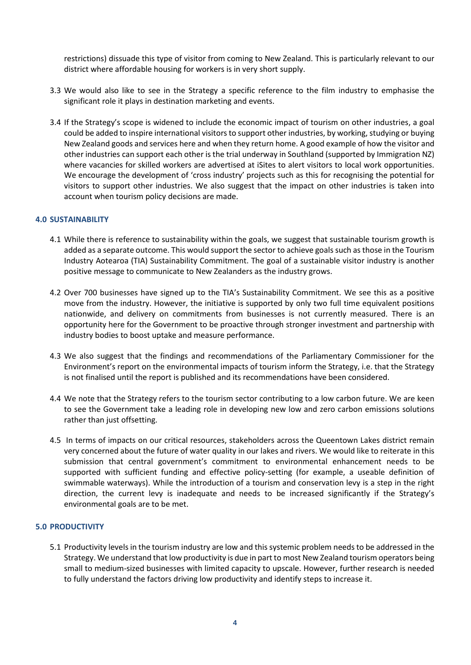restrictions) dissuade this type of visitor from coming to New Zealand. This is particularly relevant to our district where affordable housing for workers is in very short supply.

- 3.3 We would also like to see in the Strategy a specific reference to the film industry to emphasise the significant role it plays in destination marketing and events.
- 3.4 If the Strategy's scope is widened to include the economic impact of tourism on other industries, a goal could be added to inspire international visitors to support other industries, by working, studying or buying New Zealand goods and services here and when they return home. A good example of how the visitor and other industries can support each other is the trial underway in Southland (supported by Immigration NZ) where vacancies for skilled workers are advertised at iSites to alert visitors to local work opportunities. We encourage the development of 'cross industry' projects such as this for recognising the potential for visitors to support other industries. We also suggest that the impact on other industries is taken into account when tourism policy decisions are made.

## **4.0 SUSTAINABILITY**

- 4.1 While there is reference to sustainability within the goals, we suggest that sustainable tourism growth is added as a separate outcome. This would support the sector to achieve goals such as those in the Tourism Industry Aotearoa (TIA) Sustainability Commitment. The goal of a sustainable visitor industry is another positive message to communicate to New Zealanders as the industry grows.
- 4.2 Over 700 businesses have signed up to the TIA's Sustainability Commitment. We see this as a positive move from the industry. However, the initiative is supported by only two full time equivalent positions nationwide, and delivery on commitments from businesses is not currently measured. There is an opportunity here for the Government to be proactive through stronger investment and partnership with industry bodies to boost uptake and measure performance.
- 4.3 We also suggest that the findings and recommendations of the Parliamentary Commissioner for the Environment's report on the environmental impacts of tourism inform the Strategy, i.e. that the Strategy is not finalised until the report is published and its recommendations have been considered.
- 4.4 We note that the Strategy refers to the tourism sector contributing to a low carbon future. We are keen to see the Government take a leading role in developing new low and zero carbon emissions solutions rather than just offsetting.
- 4.5 In terms of impacts on our critical resources, stakeholders across the Queentown Lakes district remain very concerned about the future of water quality in our lakes and rivers. We would like to reiterate in this submission that central government's commitment to environmental enhancement needs to be supported with sufficient funding and effective policy-setting (for example, a useable definition of swimmable waterways). While the introduction of a tourism and conservation levy is a step in the right direction, the current levy is inadequate and needs to be increased significantly if the Strategy's environmental goals are to be met.

### **5.0 PRODUCTIVITY**

5.1 Productivity levels in the tourism industry are low and this systemic problem needs to be addressed in the Strategy. We understand that low productivity is due in part to most New Zealand tourism operators being small to medium-sized businesses with limited capacity to upscale. However, further research is needed to fully understand the factors driving low productivity and identify steps to increase it.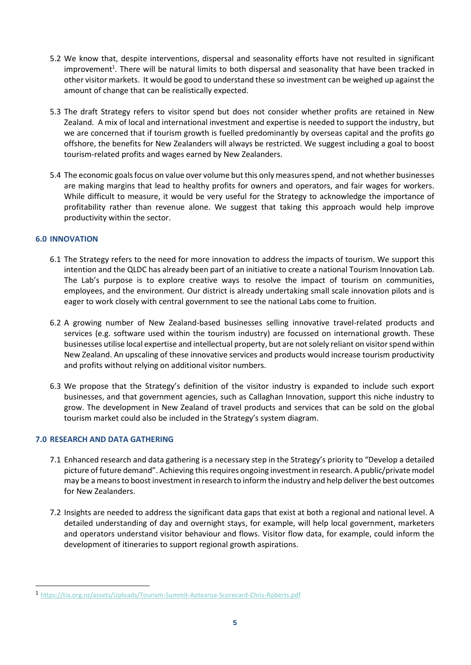- 5.2 We know that, despite interventions, dispersal and seasonality efforts have not resulted in significant improvement<sup>1</sup>. There will be natural limits to both dispersal and seasonality that have been tracked in other visitor markets. It would be good to understand these so investment can be weighed up against the amount of change that can be realistically expected.
- 5.3 The draft Strategy refers to visitor spend but does not consider whether profits are retained in New Zealand. A mix of local and international investment and expertise is needed to support the industry, but we are concerned that if tourism growth is fuelled predominantly by overseas capital and the profits go offshore, the benefits for New Zealanders will always be restricted. We suggest including a goal to boost tourism-related profits and wages earned by New Zealanders.
- 5.4 The economic goals focus on value over volume but this only measures spend, and not whether businesses are making margins that lead to healthy profits for owners and operators, and fair wages for workers. While difficult to measure, it would be very useful for the Strategy to acknowledge the importance of profitability rather than revenue alone. We suggest that taking this approach would help improve productivity within the sector.

# **6.0 INNOVATION**

- 6.1 The Strategy refers to the need for more innovation to address the impacts of tourism. We support this intention and the QLDC has already been part of an initiative to create a national Tourism Innovation Lab. The Lab's purpose is to explore creative ways to resolve the impact of tourism on communities, employees, and the environment. Our district is already undertaking small scale innovation pilots and is eager to work closely with central government to see the national Labs come to fruition.
- 6.2 A growing number of New Zealand-based businesses selling innovative travel-related products and services (e.g. software used within the tourism industry) are focussed on international growth. These businesses utilise local expertise and intellectual property, but are not solely reliant on visitorspend within New Zealand. An upscaling of these innovative services and products would increase tourism productivity and profits without relying on additional visitor numbers.
- 6.3 We propose that the Strategy's definition of the visitor industry is expanded to include such export businesses, and that government agencies, such as Callaghan Innovation, support this niche industry to grow. The development in New Zealand of travel products and services that can be sold on the global tourism market could also be included in the Strategy's system diagram.

# **7.0 RESEARCH AND DATA GATHERING**

 $\overline{a}$ 

- 7.1 Enhanced research and data gathering is a necessary step in the Strategy's priority to "Develop a detailed picture of future demand". Achieving this requires ongoing investment in research. A public/private model may be a means to boost investment in research to inform the industry and help deliver the best outcomes for New Zealanders.
- 7.2 Insights are needed to address the significant data gaps that exist at both a regional and national level. A detailed understanding of day and overnight stays, for example, will help local government, marketers and operators understand visitor behaviour and flows. Visitor flow data, for example, could inform the development of itineraries to support regional growth aspirations.

<sup>1</sup> <https://tia.org.nz/assets/Uploads/Tourism-Summit-Aotearoa-Scorecard-Chris-Roberts.pdf>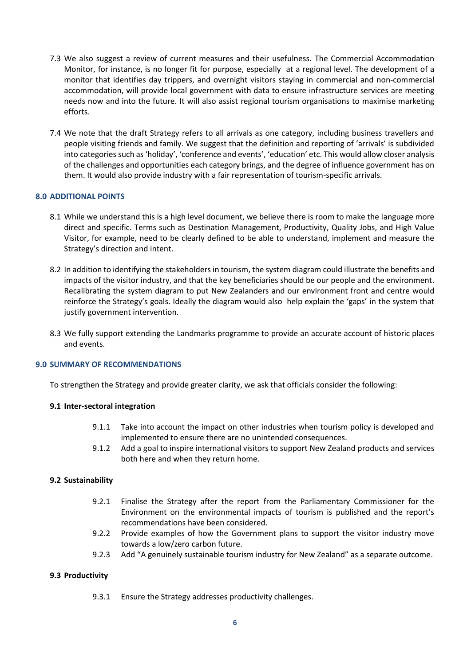- 7.3 We also suggest a review of current measures and their usefulness. The Commercial Accommodation Monitor, for instance, is no longer fit for purpose, especially at a regional level. The development of a monitor that identifies day trippers, and overnight visitors staying in commercial and non-commercial accommodation, will provide local government with data to ensure infrastructure services are meeting needs now and into the future. It will also assist regional tourism organisations to maximise marketing efforts.
- 7.4 We note that the draft Strategy refers to all arrivals as one category, including business travellers and people visiting friends and family. We suggest that the definition and reporting of 'arrivals' is subdivided into categories such as 'holiday', 'conference and events', 'education' etc. This would allow closer analysis of the challenges and opportunities each category brings, and the degree of influence government has on them. It would also provide industry with a fair representation of tourism-specific arrivals.

## **8.0 ADDITIONAL POINTS**

- 8.1 While we understand this is a high level document, we believe there is room to make the language more direct and specific. Terms such as Destination Management, Productivity, Quality Jobs, and High Value Visitor, for example, need to be clearly defined to be able to understand, implement and measure the Strategy's direction and intent.
- 8.2 In addition to identifying the stakeholders in tourism, the system diagram could illustrate the benefits and impacts of the visitor industry, and that the key beneficiaries should be our people and the environment. Recalibrating the system diagram to put New Zealanders and our environment front and centre would reinforce the Strategy's goals. Ideally the diagram would also help explain the 'gaps' in the system that justify government intervention.
- 8.3 We fully support extending the Landmarks programme to provide an accurate account of historic places and events.

### **9.0 SUMMARY OF RECOMMENDATIONS**

To strengthen the Strategy and provide greater clarity, we ask that officials consider the following:

### **9.1 Inter-sectoral integration**

- 9.1.1 Take into account the impact on other industries when tourism policy is developed and implemented to ensure there are no unintended consequences.
- 9.1.2 Add a goal to inspire international visitors to support New Zealand products and services both here and when they return home.

### **9.2 Sustainability**

- 9.2.1 Finalise the Strategy after the report from the Parliamentary Commissioner for the Environment on the environmental impacts of tourism is published and the report's recommendations have been considered.
- 9.2.2 Provide examples of how the Government plans to support the visitor industry move towards a low/zero carbon future.
- 9.2.3 Add "A genuinely sustainable tourism industry for New Zealand" as a separate outcome.

### **9.3 Productivity**

9.3.1 Ensure the Strategy addresses productivity challenges.